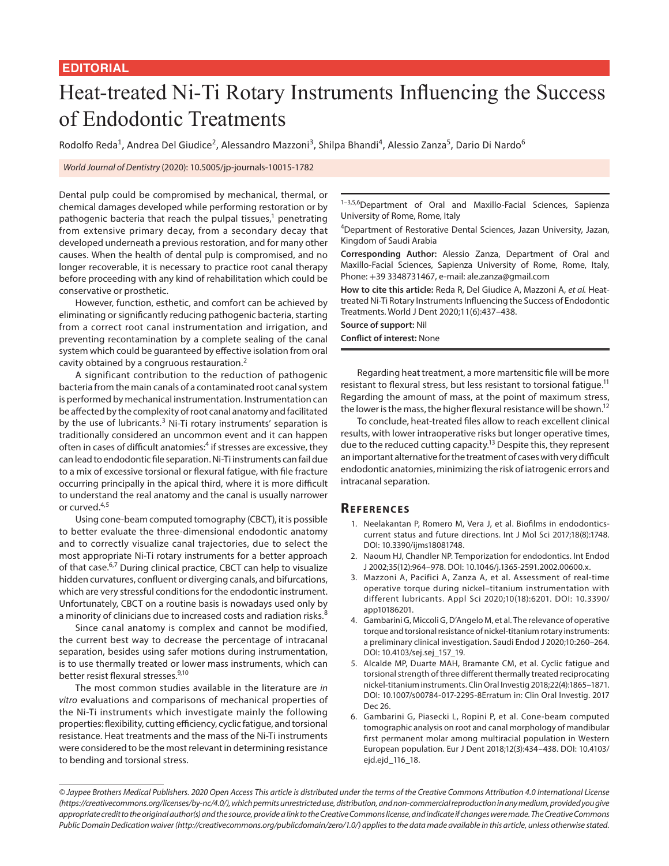## Heat-treated Ni-Ti Rotary Instruments Influencing the Success of Endodontic Treatments

Rodolfo Reda<sup>1</sup>, Andrea Del Giudice<sup>2</sup>, Alessandro Mazzoni<sup>3</sup>, Shilpa Bhandi<sup>4</sup>, Alessio Zanza<sup>5</sup>, Dario Di Nardo<sup>6</sup>

*World Journal of Dentistry* (2020): 10.5005/jp-journals-10015-1782

Dental pulp could be compromised by mechanical, thermal, or chemical damages developed while performing restoration or by pathogenic bacteria that reach the pulpal tissues,<sup>1</sup> penetrating from extensive primary decay, from a secondary decay that developed underneath a previous restoration, and for many other causes. When the health of dental pulp is compromised, and no longer recoverable, it is necessary to practice root canal therapy before proceeding with any kind of rehabilitation which could be conservative or prosthetic.

However, function, esthetic, and comfort can be achieved by eliminating or significantly reducing pathogenic bacteria, starting from a correct root canal instrumentation and irrigation, and preventing recontamination by a complete sealing of the canal system which could be guaranteed by effective isolation from oral cavity obtained by a congruous restauration.<sup>2</sup>

A significant contribution to the reduction of pathogenic bacteria from the main canals of a contaminated root canal system is performed by mechanical instrumentation. Instrumentation can be affected by the complexity of root canal anatomy and facilitated by the use of lubricants.<sup>3</sup> Ni-Ti rotary instruments' separation is traditionally considered an uncommon event and it can happen often in cases of difficult anatomies:<sup>4</sup> if stresses are excessive, they can lead to endodontic file separation. Ni-Ti instruments can fail due to a mix of excessive torsional or flexural fatigue, with file fracture occurring principally in the apical third, where it is more difficult to understand the real anatomy and the canal is usually narrower or curved.<sup>4,5</sup>

Using cone-beam computed tomography (CBCT), it is possible to better evaluate the three-dimensional endodontic anatomy and to correctly visualize canal trajectories, due to select the most appropriate Ni-Ti rotary instruments for a better approach of that case.<sup>6,7</sup> During clinical practice, CBCT can help to visualize hidden curvatures, confluent or diverging canals, and bifurcations, which are very stressful conditions for the endodontic instrument. Unfortunately, CBCT on a routine basis is nowadays used only by a minority of clinicians due to increased costs and radiation risks.<sup>8</sup>

Since canal anatomy is complex and cannot be modified, the current best way to decrease the percentage of intracanal separation, besides using safer motions during instrumentation, is to use thermally treated or lower mass instruments, which can better resist flexural stresses.<sup>9,10</sup>

The most common studies available in the literature are *in vitro* evaluations and comparisons of mechanical properties of the Ni-Ti instruments which investigate mainly the following properties: flexibility, cutting efficiency, cyclic fatigue, and torsional resistance. Heat treatments and the mass of the Ni-Ti instruments were considered to be the most relevant in determining resistance to bending and torsional stress.

1-3,5,6Department of Oral and Maxillo-Facial Sciences, Sapienza University of Rome, Rome, Italy

4 Department of Restorative Dental Sciences, Jazan University, Jazan, Kingdom of Saudi Arabia

**Corresponding Author:** Alessio Zanza, Department of Oral and Maxillo-Facial Sciences, Sapienza University of Rome, Rome, Italy, Phone: +39 3348731467, e-mail: ale.zanza@gmail.com

**How to cite this article:** Reda R, Del Giudice A, Mazzoni A, *et al.* Heattreated Ni-Ti Rotary Instruments Influencing the Success of Endodontic Treatments. World J Dent 2020;11(6):437–438.

**Source of support:** Nil **Conflict of interest:** None

Regarding heat treatment, a more martensitic file will be more resistant to flexural stress, but less resistant to torsional fatigue.<sup>11</sup> Regarding the amount of mass, at the point of maximum stress, the lower is the mass, the higher flexural resistance will be shown.<sup>12</sup>

To conclude, heat-treated files allow to reach excellent clinical results, with lower intraoperative risks but longer operative times, due to the reduced cutting capacity.<sup>13</sup> Despite this, they represent an important alternative for the treatment of cases with very difficult endodontic anatomies, minimizing the risk of iatrogenic errors and intracanal separation.

## **Re f ere n c e s**

- 1. Neelakantan P, Romero M, Vera J, et al. Biofilms in endodonticscurrent status and future directions. Int J Mol Sci 2017;18(8):1748. DOI: 10.3390/ijms18081748.
- 2. Naoum HJ, Chandler NP. Temporization for endodontics. Int Endod J 2002;35(12):964–978. DOI: 10.1046/j.1365-2591.2002.00600.x.
- 3. Mazzoni A, Pacifici A, Zanza A, et al. Assessment of real-time operative torque during nickel–titanium instrumentation with different lubricants. Appl Sci 2020;10(18):6201. DOI: 10.3390/ app10186201.
- 4. Gambarini G, Miccoli G, D'Angelo M, et al. The relevance of operative torque and torsional resistance of nickel-titanium rotary instruments: a preliminary clinical investigation. Saudi Endod J 2020;10:260–264. DOI: 10.4103/sej.sej\_157\_19.
- 5. Alcalde MP, Duarte MAH, Bramante CM, et al. Cyclic fatigue and torsional strength of three different thermally treated reciprocating nickel-titanium instruments. Clin Oral Investig 2018;22(4):1865–1871. DOI: 10.1007/s00784-017-2295-8Erratum in: Clin Oral Investig. 2017 Dec 26.
- 6. Gambarini G, Piasecki L, Ropini P, et al. Cone-beam computed tomographic analysis on root and canal morphology of mandibular first permanent molar among multiracial population in Western European population. Eur J Dent 2018;12(3):434–438. DOI: 10.4103/ ejd.ejd\_116\_18.

*<sup>©</sup> Jaypee Brothers Medical Publishers. 2020 Open Access This article is distributed under the terms of the Creative Commons Attribution 4.0 International License (https://creativecommons.org/licenses/by-nc/4.0/), which permits unrestricted use, distribution, and non-commercial reproduction in any medium, provided you give appropriate credit to the original author(s) and the source, provide a link to the Creative Commons license, and indicate if changes were made. The Creative Commons Public Domain Dedication waiver (http://creativecommons.org/publicdomain/zero/1.0/) applies to the data made available in this article, unless otherwise stated.*